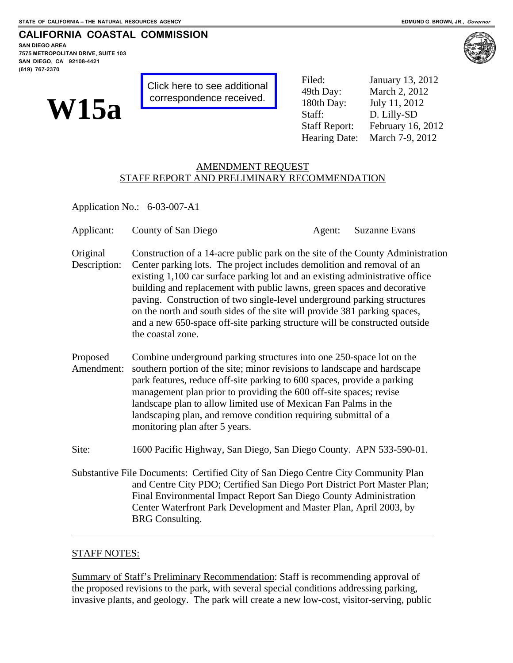#### **CALIFORNIA COASTAL COMMISSION**

**SAN DIEGO AREA 7575 METROPOLITAN DRIVE, SUITE 103 SAN DIEGO, CA 92108-4421 (619) 767-2370**



[Click here to see additional](#page-20-0)  correspondence received.

**WISCONDER SEE ADMINISHED ACCESS**<br>CONFERENCE CONSTRUCTED And Day: March 2, 20<br>Staff: D. Lilly-SD<br>Staff Report: February 16 Filed: January 13, 2012 March 2, 2012 July 11, 2012 February 16, 2012 Hearing Date: March 7-9, 2012

## AMENDMENT REQUEST STAFF REPORT AND PRELIMINARY RECOMMENDATION

Application No.: 6-03-007-A1

| Applicant:               | County of San Diego                                                                                                                                                                                                                                                                                                                                                                                                                                                                                                                                                            | Agent: | <b>Suzanne Evans</b> |  |  |
|--------------------------|--------------------------------------------------------------------------------------------------------------------------------------------------------------------------------------------------------------------------------------------------------------------------------------------------------------------------------------------------------------------------------------------------------------------------------------------------------------------------------------------------------------------------------------------------------------------------------|--------|----------------------|--|--|
| Original<br>Description: | Construction of a 14-acre public park on the site of the County Administration<br>Center parking lots. The project includes demolition and removal of an<br>existing 1,100 car surface parking lot and an existing administrative office<br>building and replacement with public lawns, green spaces and decorative<br>paving. Construction of two single-level underground parking structures<br>on the north and south sides of the site will provide 381 parking spaces,<br>and a new 650-space off-site parking structure will be constructed outside<br>the coastal zone. |        |                      |  |  |
| Proposed<br>Amendment:   | Combine underground parking structures into one 250-space lot on the<br>southern portion of the site; minor revisions to landscape and hardscape<br>park features, reduce off-site parking to 600 spaces, provide a parking<br>management plan prior to providing the 600 off-site spaces; revise<br>landscape plan to allow limited use of Mexican Fan Palms in the<br>landscaping plan, and remove condition requiring submittal of a<br>monitoring plan after 5 years.                                                                                                      |        |                      |  |  |
| Site:                    | 1600 Pacific Highway, San Diego, San Diego County. APN 533-590-01.                                                                                                                                                                                                                                                                                                                                                                                                                                                                                                             |        |                      |  |  |
|                          | Substantive File Documents: Certified City of San Diego Centre City Community Plan<br>and Centre City PDO; Certified San Diego Port District Port Master Plan;<br>Final Environmental Impact Report San Diego County Administration<br>Center Waterfront Park Development and Master Plan, April 2003, by<br><b>BRG</b> Consulting.                                                                                                                                                                                                                                            |        |                      |  |  |

### STAFF NOTES:

 $\overline{a}$ 

Summary of Staff's Preliminary Recommendation: Staff is recommending approval of the proposed revisions to the park, with several special conditions addressing parking, invasive plants, and geology. The park will create a new low-cost, visitor-serving, public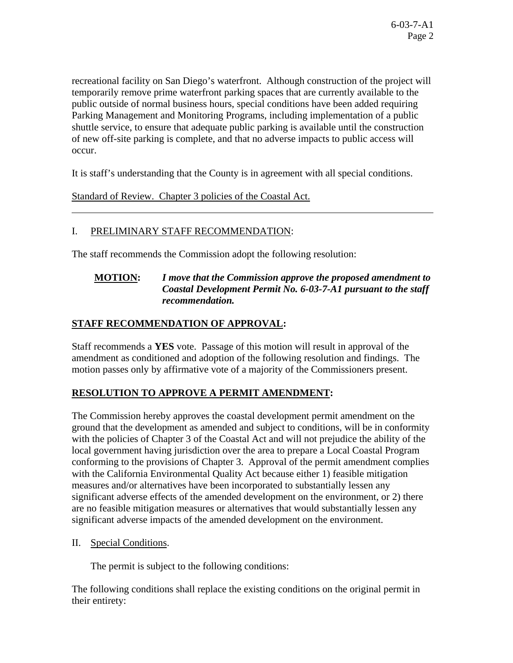recreational facility on San Diego's waterfront. Although construction of the project will temporarily remove prime waterfront parking spaces that are currently available to the public outside of normal business hours, special conditions have been added requiring Parking Management and Monitoring Programs, including implementation of a public shuttle service, to ensure that adequate public parking is available until the construction of new off-site parking is complete, and that no adverse impacts to public access will occur.

It is staff's understanding that the County is in agreement with all special conditions.

Standard of Review. Chapter 3 policies of the Coastal Act.

# I. PRELIMINARY STAFF RECOMMENDATION:

The staff recommends the Commission adopt the following resolution:

# **MOTION:** *I move that the Commission approve the proposed amendment to Coastal Development Permit No. 6-03-7-A1 pursuant to the staff recommendation.*

# **STAFF RECOMMENDATION OF APPROVAL:**

Staff recommends a **YES** vote. Passage of this motion will result in approval of the amendment as conditioned and adoption of the following resolution and findings. The motion passes only by affirmative vote of a majority of the Commissioners present.

# **RESOLUTION TO APPROVE A PERMIT AMENDMENT:**

The Commission hereby approves the coastal development permit amendment on the ground that the development as amended and subject to conditions, will be in conformity with the policies of Chapter 3 of the Coastal Act and will not prejudice the ability of the local government having jurisdiction over the area to prepare a Local Coastal Program conforming to the provisions of Chapter 3. Approval of the permit amendment complies with the California Environmental Quality Act because either 1) feasible mitigation measures and/or alternatives have been incorporated to substantially lessen any significant adverse effects of the amended development on the environment, or 2) there are no feasible mitigation measures or alternatives that would substantially lessen any significant adverse impacts of the amended development on the environment.

II. Special Conditions.

 $\overline{a}$ 

The permit is subject to the following conditions:

The following conditions shall replace the existing conditions on the original permit in their entirety: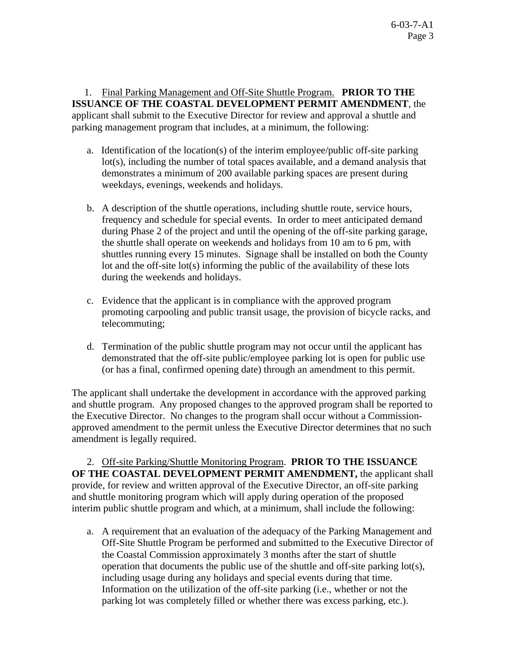1. Final Parking Management and Off-Site Shuttle Program. **PRIOR TO THE ISSUANCE OF THE COASTAL DEVELOPMENT PERMIT AMENDMENT**, the applicant shall submit to the Executive Director for review and approval a shuttle and parking management program that includes, at a minimum, the following:

- a. Identification of the location(s) of the interim employee/public off-site parking lot(s), including the number of total spaces available, and a demand analysis that demonstrates a minimum of 200 available parking spaces are present during weekdays, evenings, weekends and holidays.
- b. A description of the shuttle operations, including shuttle route, service hours, frequency and schedule for special events. In order to meet anticipated demand during Phase 2 of the project and until the opening of the off-site parking garage, the shuttle shall operate on weekends and holidays from 10 am to 6 pm, with shuttles running every 15 minutes. Signage shall be installed on both the County lot and the off-site lot(s) informing the public of the availability of these lots during the weekends and holidays.
- c. Evidence that the applicant is in compliance with the approved program promoting carpooling and public transit usage, the provision of bicycle racks, and telecommuting;
- d. Termination of the public shuttle program may not occur until the applicant has demonstrated that the off-site public/employee parking lot is open for public use (or has a final, confirmed opening date) through an amendment to this permit.

The applicant shall undertake the development in accordance with the approved parking and shuttle program. Any proposed changes to the approved program shall be reported to the Executive Director. No changes to the program shall occur without a Commissionapproved amendment to the permit unless the Executive Director determines that no such amendment is legally required.

2. Off-site Parking/Shuttle Monitoring Program. **PRIOR TO THE ISSUANCE OF THE COASTAL DEVELOPMENT PERMIT AMENDMENT,** the applicant shall provide, for review and written approval of the Executive Director, an off-site parking and shuttle monitoring program which will apply during operation of the proposed interim public shuttle program and which, at a minimum, shall include the following:

a. A requirement that an evaluation of the adequacy of the Parking Management and Off-Site Shuttle Program be performed and submitted to the Executive Director of the Coastal Commission approximately 3 months after the start of shuttle operation that documents the public use of the shuttle and off-site parking lot(s), including usage during any holidays and special events during that time. Information on the utilization of the off-site parking (i.e., whether or not the parking lot was completely filled or whether there was excess parking, etc.).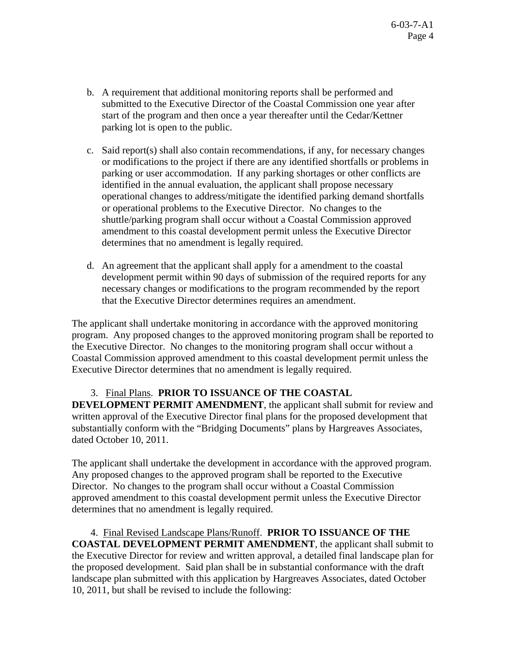- b. A requirement that additional monitoring reports shall be performed and submitted to the Executive Director of the Coastal Commission one year after start of the program and then once a year thereafter until the Cedar/Kettner parking lot is open to the public.
- c. Said report(s) shall also contain recommendations, if any, for necessary changes or modifications to the project if there are any identified shortfalls or problems in parking or user accommodation. If any parking shortages or other conflicts are identified in the annual evaluation, the applicant shall propose necessary operational changes to address/mitigate the identified parking demand shortfalls or operational problems to the Executive Director. No changes to the shuttle/parking program shall occur without a Coastal Commission approved amendment to this coastal development permit unless the Executive Director determines that no amendment is legally required.
- d. An agreement that the applicant shall apply for a amendment to the coastal development permit within 90 days of submission of the required reports for any necessary changes or modifications to the program recommended by the report that the Executive Director determines requires an amendment.

The applicant shall undertake monitoring in accordance with the approved monitoring program. Any proposed changes to the approved monitoring program shall be reported to the Executive Director. No changes to the monitoring program shall occur without a Coastal Commission approved amendment to this coastal development permit unless the Executive Director determines that no amendment is legally required.

## 3. Final Plans. **PRIOR TO ISSUANCE OF THE COASTAL**

**DEVELOPMENT PERMIT AMENDMENT**, the applicant shall submit for review and written approval of the Executive Director final plans for the proposed development that substantially conform with the "Bridging Documents" plans by Hargreaves Associates, dated October 10, 2011.

The applicant shall undertake the development in accordance with the approved program. Any proposed changes to the approved program shall be reported to the Executive Director. No changes to the program shall occur without a Coastal Commission approved amendment to this coastal development permit unless the Executive Director determines that no amendment is legally required.

 4. Final Revised Landscape Plans/Runoff. **PRIOR TO ISSUANCE OF THE COASTAL DEVELOPMENT PERMIT AMENDMENT**, the applicant shall submit to the Executive Director for review and written approval, a detailed final landscape plan for the proposed development. Said plan shall be in substantial conformance with the draft landscape plan submitted with this application by Hargreaves Associates, dated October 10, 2011, but shall be revised to include the following: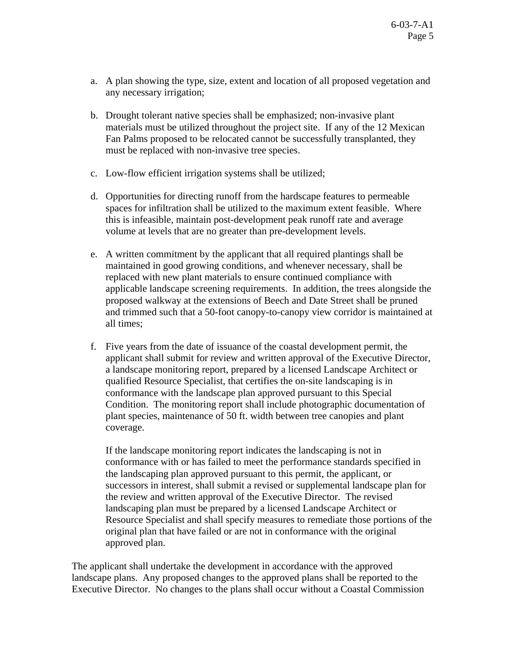- a. A plan showing the type, size, extent and location of all proposed vegetation and any necessary irrigation;
- b. Drought tolerant native species shall be emphasized; non-invasive plant materials must be utilized throughout the project site. If any of the 12 Mexican Fan Palms proposed to be relocated cannot be successfully transplanted, they must be replaced with non-invasive tree species.
- c. Low-flow efficient irrigation systems shall be utilized;
- d. Opportunities for directing runoff from the hardscape features to permeable spaces for infiltration shall be utilized to the maximum extent feasible. Where this is infeasible, maintain post-development peak runoff rate and average volume at levels that are no greater than pre-development levels.
- e. A written commitment by the applicant that all required plantings shall be maintained in good growing conditions, and whenever necessary, shall be replaced with new plant materials to ensure continued compliance with applicable landscape screening requirements. In addition, the trees alongside the proposed walkway at the extensions of Beech and Date Street shall be pruned and trimmed such that a 50-foot canopy-to-canopy view corridor is maintained at all times;
- f. Five years from the date of issuance of the coastal development permit, the applicant shall submit for review and written approval of the Executive Director, a landscape monitoring report, prepared by a licensed Landscape Architect or qualified Resource Specialist, that certifies the on-site landscaping is in conformance with the landscape plan approved pursuant to this Special Condition. The monitoring report shall include photographic documentation of plant species, maintenance of 50 ft. width between tree canopies and plant coverage.

If the landscape monitoring report indicates the landscaping is not in conformance with or has failed to meet the performance standards specified in the landscaping plan approved pursuant to this permit, the applicant, or successors in interest, shall submit a revised or supplemental landscape plan for the review and written approval of the Executive Director. The revised landscaping plan must be prepared by a licensed Landscape Architect or Resource Specialist and shall specify measures to remediate those portions of the original plan that have failed or are not in conformance with the original approved plan.

The applicant shall undertake the development in accordance with the approved landscape plans. Any proposed changes to the approved plans shall be reported to the Executive Director. No changes to the plans shall occur without a Coastal Commission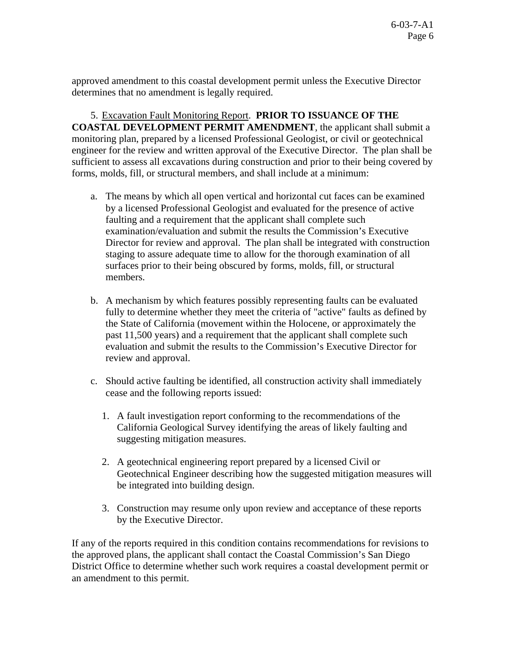approved amendment to this coastal development permit unless the Executive Director determines that no amendment is legally required.

5. Excavation Fault Monitoring Report. **PRIOR TO ISSUANCE OF THE COASTAL DEVELOPMENT PERMIT AMENDMENT**, the applicant shall submit a monitoring plan, prepared by a licensed Professional Geologist, or civil or geotechnical engineer for the review and written approval of the Executive Director. The plan shall be sufficient to assess all excavations during construction and prior to their being covered by forms, molds, fill, or structural members, and shall include at a minimum:

- a. The means by which all open vertical and horizontal cut faces can be examined by a licensed Professional Geologist and evaluated for the presence of active faulting and a requirement that the applicant shall complete such examination/evaluation and submit the results the Commission's Executive Director for review and approval. The plan shall be integrated with construction staging to assure adequate time to allow for the thorough examination of all surfaces prior to their being obscured by forms, molds, fill, or structural members.
- b. A mechanism by which features possibly representing faults can be evaluated fully to determine whether they meet the criteria of "active" faults as defined by the State of California (movement within the Holocene, or approximately the past 11,500 years) and a requirement that the applicant shall complete such evaluation and submit the results to the Commission's Executive Director for review and approval.
- c. Should active faulting be identified, all construction activity shall immediately cease and the following reports issued:
	- 1. A fault investigation report conforming to the recommendations of the California Geological Survey identifying the areas of likely faulting and suggesting mitigation measures.
	- 2. A geotechnical engineering report prepared by a licensed Civil or Geotechnical Engineer describing how the suggested mitigation measures will be integrated into building design.
	- 3. Construction may resume only upon review and acceptance of these reports by the Executive Director.

If any of the reports required in this condition contains recommendations for revisions to the approved plans, the applicant shall contact the Coastal Commission's San Diego District Office to determine whether such work requires a coastal development permit or an amendment to this permit.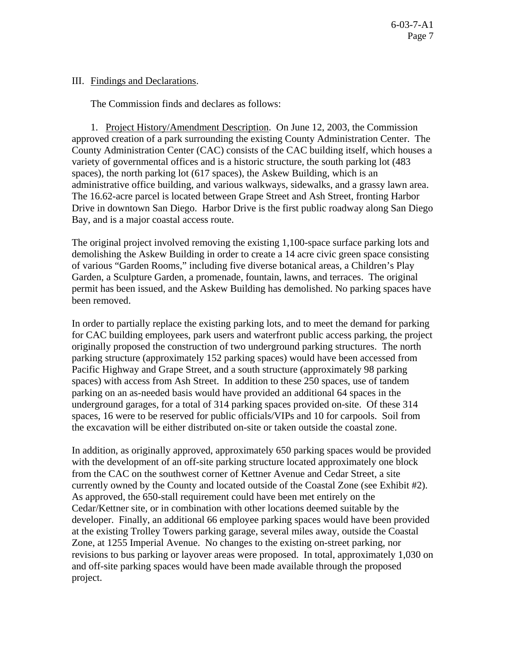## III. Findings and Declarations.

The Commission finds and declares as follows:

 1. Project History/Amendment Description. On June 12, 2003, the Commission approved creation of a park surrounding the existing County Administration Center. The County Administration Center (CAC) consists of the CAC building itself, which houses a variety of governmental offices and is a historic structure, the south parking lot (483 spaces), the north parking lot (617 spaces), the Askew Building, which is an administrative office building, and various walkways, sidewalks, and a grassy lawn area. The 16.62-acre parcel is located between Grape Street and Ash Street, fronting Harbor Drive in downtown San Diego. Harbor Drive is the first public roadway along San Diego Bay, and is a major coastal access route.

The original project involved removing the existing 1,100-space surface parking lots and demolishing the Askew Building in order to create a 14 acre civic green space consisting of various "Garden Rooms," including five diverse botanical areas, a Children's Play Garden, a Sculpture Garden, a promenade, fountain, lawns, and terraces. The original permit has been issued, and the Askew Building has demolished. No parking spaces have been removed.

In order to partially replace the existing parking lots, and to meet the demand for parking for CAC building employees, park users and waterfront public access parking, the project originally proposed the construction of two underground parking structures. The north parking structure (approximately 152 parking spaces) would have been accessed from Pacific Highway and Grape Street, and a south structure (approximately 98 parking spaces) with access from Ash Street. In addition to these 250 spaces, use of tandem parking on an as-needed basis would have provided an additional 64 spaces in the underground garages, for a total of 314 parking spaces provided on-site. Of these 314 spaces, 16 were to be reserved for public officials/VIPs and 10 for carpools. Soil from the excavation will be either distributed on-site or taken outside the coastal zone.

In addition, as originally approved, approximately 650 parking spaces would be provided with the development of an off-site parking structure located approximately one block from the CAC on the southwest corner of Kettner Avenue and Cedar Street, a site currently owned by the County and located outside of the Coastal Zone (see Exhibit #2). As approved, the 650-stall requirement could have been met entirely on the Cedar/Kettner site, or in combination with other locations deemed suitable by the developer. Finally, an additional 66 employee parking spaces would have been provided at the existing Trolley Towers parking garage, several miles away, outside the Coastal Zone, at 1255 Imperial Avenue. No changes to the existing on-street parking, nor revisions to bus parking or layover areas were proposed. In total, approximately 1,030 on and off-site parking spaces would have been made available through the proposed project.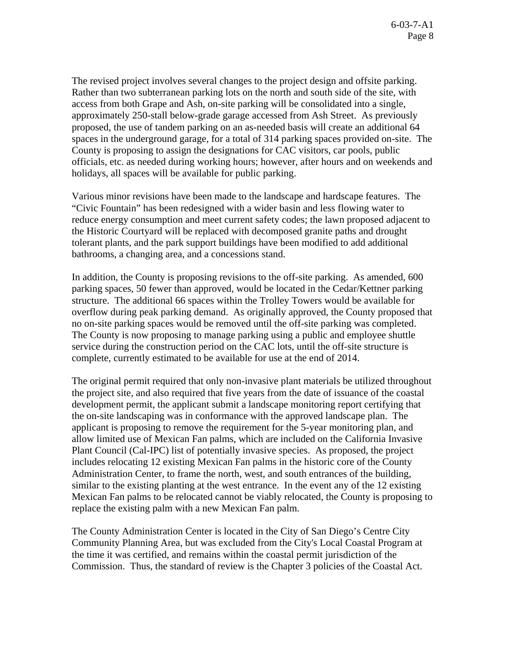The revised project involves several changes to the project design and offsite parking. Rather than two subterranean parking lots on the north and south side of the site, with access from both Grape and Ash, on-site parking will be consolidated into a single, approximately 250-stall below-grade garage accessed from Ash Street. As previously proposed, the use of tandem parking on an as-needed basis will create an additional 64 spaces in the underground garage, for a total of 314 parking spaces provided on-site. The County is proposing to assign the designations for CAC visitors, car pools, public officials, etc. as needed during working hours; however, after hours and on weekends and holidays, all spaces will be available for public parking.

Various minor revisions have been made to the landscape and hardscape features. The "Civic Fountain" has been redesigned with a wider basin and less flowing water to reduce energy consumption and meet current safety codes; the lawn proposed adjacent to the Historic Courtyard will be replaced with decomposed granite paths and drought tolerant plants, and the park support buildings have been modified to add additional bathrooms, a changing area, and a concessions stand.

In addition, the County is proposing revisions to the off-site parking. As amended, 600 parking spaces, 50 fewer than approved, would be located in the Cedar/Kettner parking structure. The additional 66 spaces within the Trolley Towers would be available for overflow during peak parking demand. As originally approved, the County proposed that no on-site parking spaces would be removed until the off-site parking was completed. The County is now proposing to manage parking using a public and employee shuttle service during the construction period on the CAC lots, until the off-site structure is complete, currently estimated to be available for use at the end of 2014.

The original permit required that only non-invasive plant materials be utilized throughout the project site, and also required that five years from the date of issuance of the coastal development permit, the applicant submit a landscape monitoring report certifying that the on-site landscaping was in conformance with the approved landscape plan. The applicant is proposing to remove the requirement for the 5-year monitoring plan, and allow limited use of Mexican Fan palms, which are included on the California Invasive Plant Council (Cal-IPC) list of potentially invasive species. As proposed, the project includes relocating 12 existing Mexican Fan palms in the historic core of the County Administration Center, to frame the north, west, and south entrances of the building, similar to the existing planting at the west entrance. In the event any of the 12 existing Mexican Fan palms to be relocated cannot be viably relocated, the County is proposing to replace the existing palm with a new Mexican Fan palm.

The County Administration Center is located in the City of San Diego's Centre City Community Planning Area, but was excluded from the City's Local Coastal Program at the time it was certified, and remains within the coastal permit jurisdiction of the Commission. Thus, the standard of review is the Chapter 3 policies of the Coastal Act.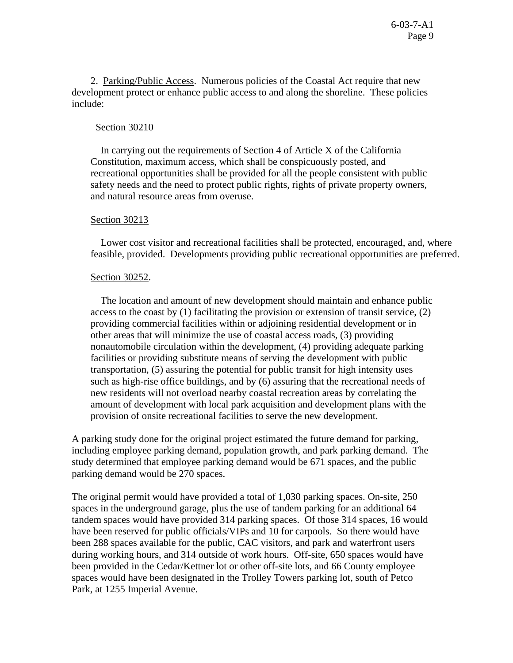2. Parking/Public Access. Numerous policies of the Coastal Act require that new development protect or enhance public access to and along the shoreline. These policies include:

### Section 30210

 In carrying out the requirements of Section 4 of Article X of the California Constitution, maximum access, which shall be conspicuously posted, and recreational opportunities shall be provided for all the people consistent with public safety needs and the need to protect public rights, rights of private property owners, and natural resource areas from overuse.

### Section 30213

 Lower cost visitor and recreational facilities shall be protected, encouraged, and, where feasible, provided. Developments providing public recreational opportunities are preferred.

### Section 30252.

 The location and amount of new development should maintain and enhance public access to the coast by (1) facilitating the provision or extension of transit service, (2) providing commercial facilities within or adjoining residential development or in other areas that will minimize the use of coastal access roads, (3) providing nonautomobile circulation within the development, (4) providing adequate parking facilities or providing substitute means of serving the development with public transportation, (5) assuring the potential for public transit for high intensity uses such as high-rise office buildings, and by (6) assuring that the recreational needs of new residents will not overload nearby coastal recreation areas by correlating the amount of development with local park acquisition and development plans with the provision of onsite recreational facilities to serve the new development.

A parking study done for the original project estimated the future demand for parking, including employee parking demand, population growth, and park parking demand. The study determined that employee parking demand would be 671 spaces, and the public parking demand would be 270 spaces.

The original permit would have provided a total of 1,030 parking spaces. On-site, 250 spaces in the underground garage, plus the use of tandem parking for an additional 64 tandem spaces would have provided 314 parking spaces. Of those 314 spaces, 16 would have been reserved for public officials/VIPs and 10 for carpools. So there would have been 288 spaces available for the public, CAC visitors, and park and waterfront users during working hours, and 314 outside of work hours. Off-site, 650 spaces would have been provided in the Cedar/Kettner lot or other off-site lots, and 66 County employee spaces would have been designated in the Trolley Towers parking lot, south of Petco Park, at 1255 Imperial Avenue.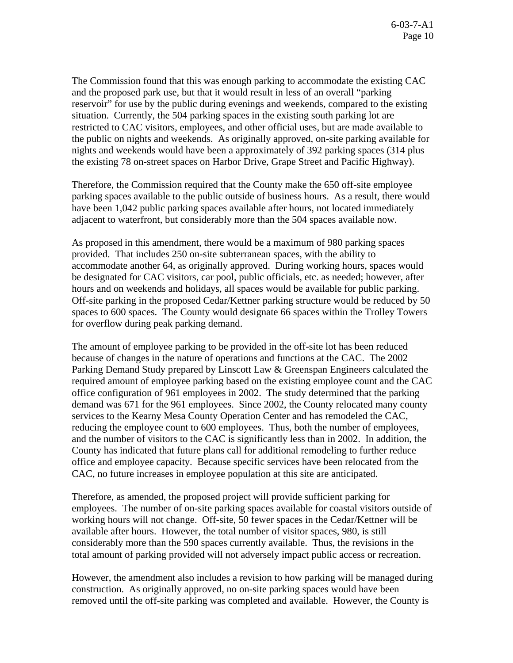The Commission found that this was enough parking to accommodate the existing CAC and the proposed park use, but that it would result in less of an overall "parking reservoir" for use by the public during evenings and weekends, compared to the existing situation. Currently, the 504 parking spaces in the existing south parking lot are restricted to CAC visitors, employees, and other official uses, but are made available to the public on nights and weekends. As originally approved, on-site parking available for nights and weekends would have been a approximately of 392 parking spaces (314 plus the existing 78 on-street spaces on Harbor Drive, Grape Street and Pacific Highway).

Therefore, the Commission required that the County make the 650 off-site employee parking spaces available to the public outside of business hours. As a result, there would have been 1,042 public parking spaces available after hours, not located immediately adjacent to waterfront, but considerably more than the 504 spaces available now.

As proposed in this amendment, there would be a maximum of 980 parking spaces provided. That includes 250 on-site subterranean spaces, with the ability to accommodate another 64, as originally approved. During working hours, spaces would be designated for CAC visitors, car pool, public officials, etc. as needed; however, after hours and on weekends and holidays, all spaces would be available for public parking. Off-site parking in the proposed Cedar/Kettner parking structure would be reduced by 50 spaces to 600 spaces. The County would designate 66 spaces within the Trolley Towers for overflow during peak parking demand.

The amount of employee parking to be provided in the off-site lot has been reduced because of changes in the nature of operations and functions at the CAC. The 2002 Parking Demand Study prepared by Linscott Law & Greenspan Engineers calculated the required amount of employee parking based on the existing employee count and the CAC office configuration of 961 employees in 2002. The study determined that the parking demand was 671 for the 961 employees. Since 2002, the County relocated many county services to the Kearny Mesa County Operation Center and has remodeled the CAC, reducing the employee count to 600 employees. Thus, both the number of employees, and the number of visitors to the CAC is significantly less than in 2002. In addition, the County has indicated that future plans call for additional remodeling to further reduce office and employee capacity. Because specific services have been relocated from the CAC, no future increases in employee population at this site are anticipated.

Therefore, as amended, the proposed project will provide sufficient parking for employees. The number of on-site parking spaces available for coastal visitors outside of working hours will not change. Off-site, 50 fewer spaces in the Cedar/Kettner will be available after hours. However, the total number of visitor spaces, 980, is still considerably more than the 590 spaces currently available. Thus, the revisions in the total amount of parking provided will not adversely impact public access or recreation.

However, the amendment also includes a revision to how parking will be managed during construction. As originally approved, no on-site parking spaces would have been removed until the off-site parking was completed and available. However, the County is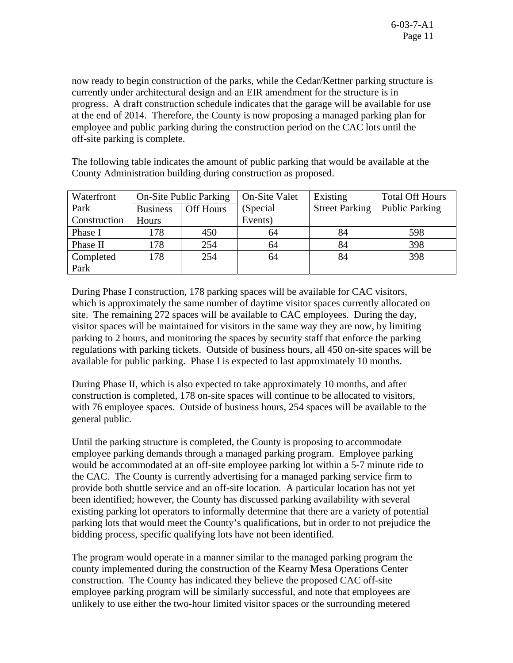now ready to begin construction of the parks, while the Cedar/Kettner parking structure is currently under architectural design and an EIR amendment for the structure is in progress. A draft construction schedule indicates that the garage will be available for use at the end of 2014. Therefore, the County is now proposing a managed parking plan for employee and public parking during the construction period on the CAC lots until the off-site parking is complete.

The following table indicates the amount of public parking that would be available at the County Administration building during construction as proposed.

| Waterfront   | <b>On-Site Public Parking</b> |           | <b>On-Site Valet</b> | Existing              | <b>Total Off Hours</b> |
|--------------|-------------------------------|-----------|----------------------|-----------------------|------------------------|
| Park         | <b>Business</b>               | Off Hours | (Special)            | <b>Street Parking</b> | <b>Public Parking</b>  |
| Construction | Hours                         |           | Events)              |                       |                        |
| Phase I      | 178                           | 450       | 64                   | 84                    | 598                    |
| Phase II     | 178                           | 254       | 64                   | 84                    | 398                    |
| Completed    | 178                           | 254       | 64                   | 84                    | 398                    |
| Park         |                               |           |                      |                       |                        |

During Phase I construction, 178 parking spaces will be available for CAC visitors, which is approximately the same number of daytime visitor spaces currently allocated on site. The remaining 272 spaces will be available to CAC employees. During the day, visitor spaces will be maintained for visitors in the same way they are now, by limiting parking to 2 hours, and monitoring the spaces by security staff that enforce the parking regulations with parking tickets. Outside of business hours, all 450 on-site spaces will be available for public parking. Phase I is expected to last approximately 10 months.

During Phase II, which is also expected to take approximately 10 months, and after construction is completed, 178 on-site spaces will continue to be allocated to visitors, with 76 employee spaces. Outside of business hours, 254 spaces will be available to the general public.

Until the parking structure is completed, the County is proposing to accommodate employee parking demands through a managed parking program. Employee parking would be accommodated at an off-site employee parking lot within a 5-7 minute ride to the CAC. The County is currently advertising for a managed parking service firm to provide both shuttle service and an off-site location. A particular location has not yet been identified; however, the County has discussed parking availability with several existing parking lot operators to informally determine that there are a variety of potential parking lots that would meet the County's qualifications, but in order to not prejudice the bidding process, specific qualifying lots have not been identified.

The program would operate in a manner similar to the managed parking program the county implemented during the construction of the Kearny Mesa Operations Center construction. The County has indicated they believe the proposed CAC off-site employee parking program will be similarly successful, and note that employees are unlikely to use either the two-hour limited visitor spaces or the surrounding metered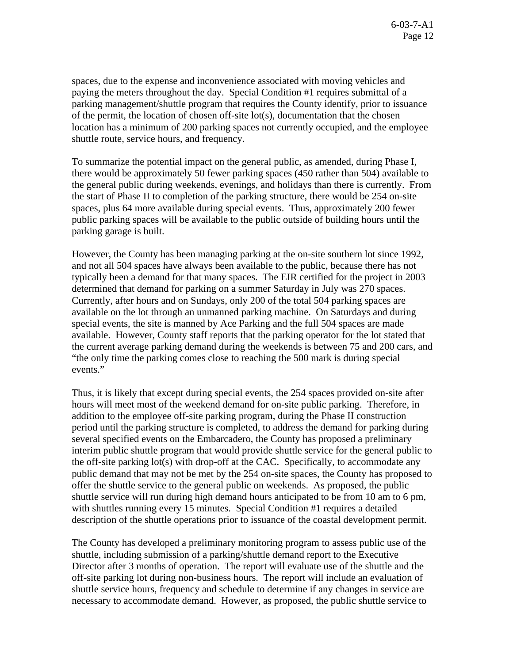spaces, due to the expense and inconvenience associated with moving vehicles and paying the meters throughout the day. Special Condition #1 requires submittal of a parking management/shuttle program that requires the County identify, prior to issuance of the permit, the location of chosen off-site lot(s), documentation that the chosen location has a minimum of 200 parking spaces not currently occupied, and the employee shuttle route, service hours, and frequency.

To summarize the potential impact on the general public, as amended, during Phase I, there would be approximately 50 fewer parking spaces (450 rather than 504) available to the general public during weekends, evenings, and holidays than there is currently. From the start of Phase II to completion of the parking structure, there would be 254 on-site spaces, plus 64 more available during special events. Thus, approximately 200 fewer public parking spaces will be available to the public outside of building hours until the parking garage is built.

However, the County has been managing parking at the on-site southern lot since 1992, and not all 504 spaces have always been available to the public, because there has not typically been a demand for that many spaces. The EIR certified for the project in 2003 determined that demand for parking on a summer Saturday in July was 270 spaces. Currently, after hours and on Sundays, only 200 of the total 504 parking spaces are available on the lot through an unmanned parking machine. On Saturdays and during special events, the site is manned by Ace Parking and the full 504 spaces are made available. However, County staff reports that the parking operator for the lot stated that the current average parking demand during the weekends is between 75 and 200 cars, and "the only time the parking comes close to reaching the 500 mark is during special events."

Thus, it is likely that except during special events, the 254 spaces provided on-site after hours will meet most of the weekend demand for on-site public parking. Therefore, in addition to the employee off-site parking program, during the Phase II construction period until the parking structure is completed, to address the demand for parking during several specified events on the Embarcadero, the County has proposed a preliminary interim public shuttle program that would provide shuttle service for the general public to the off-site parking lot(s) with drop-off at the CAC. Specifically, to accommodate any public demand that may not be met by the 254 on-site spaces, the County has proposed to offer the shuttle service to the general public on weekends. As proposed, the public shuttle service will run during high demand hours anticipated to be from 10 am to 6 pm, with shuttles running every 15 minutes. Special Condition #1 requires a detailed description of the shuttle operations prior to issuance of the coastal development permit.

The County has developed a preliminary monitoring program to assess public use of the shuttle, including submission of a parking/shuttle demand report to the Executive Director after 3 months of operation. The report will evaluate use of the shuttle and the off-site parking lot during non-business hours. The report will include an evaluation of shuttle service hours, frequency and schedule to determine if any changes in service are necessary to accommodate demand. However, as proposed, the public shuttle service to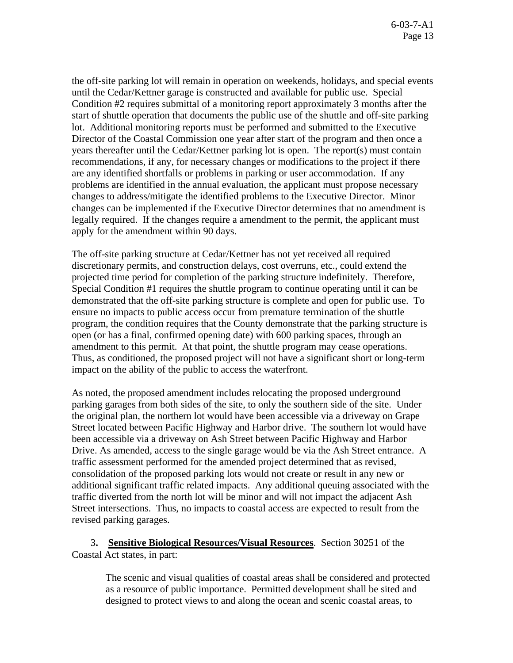the off-site parking lot will remain in operation on weekends, holidays, and special events until the Cedar/Kettner garage is constructed and available for public use. Special Condition #2 requires submittal of a monitoring report approximately 3 months after the start of shuttle operation that documents the public use of the shuttle and off-site parking lot. Additional monitoring reports must be performed and submitted to the Executive Director of the Coastal Commission one year after start of the program and then once a years thereafter until the Cedar/Kettner parking lot is open. The report(s) must contain recommendations, if any, for necessary changes or modifications to the project if there are any identified shortfalls or problems in parking or user accommodation. If any problems are identified in the annual evaluation, the applicant must propose necessary changes to address/mitigate the identified problems to the Executive Director. Minor changes can be implemented if the Executive Director determines that no amendment is legally required. If the changes require a amendment to the permit, the applicant must apply for the amendment within 90 days.

The off-site parking structure at Cedar/Kettner has not yet received all required discretionary permits, and construction delays, cost overruns, etc., could extend the projected time period for completion of the parking structure indefinitely. Therefore, Special Condition #1 requires the shuttle program to continue operating until it can be demonstrated that the off-site parking structure is complete and open for public use. To ensure no impacts to public access occur from premature termination of the shuttle program, the condition requires that the County demonstrate that the parking structure is open (or has a final, confirmed opening date) with 600 parking spaces, through an amendment to this permit. At that point, the shuttle program may cease operations. Thus, as conditioned, the proposed project will not have a significant short or long-term impact on the ability of the public to access the waterfront.

As noted, the proposed amendment includes relocating the proposed underground parking garages from both sides of the site, to only the southern side of the site. Under the original plan, the northern lot would have been accessible via a driveway on Grape Street located between Pacific Highway and Harbor drive. The southern lot would have been accessible via a driveway on Ash Street between Pacific Highway and Harbor Drive. As amended, access to the single garage would be via the Ash Street entrance. A traffic assessment performed for the amended project determined that as revised, consolidation of the proposed parking lots would not create or result in any new or additional significant traffic related impacts. Any additional queuing associated with the traffic diverted from the north lot will be minor and will not impact the adjacent Ash Street intersections. Thus, no impacts to coastal access are expected to result from the revised parking garages.

 3**. Sensitive Biological Resources/Visual Resources**. Section 30251 of the Coastal Act states, in part:

> The scenic and visual qualities of coastal areas shall be considered and protected as a resource of public importance. Permitted development shall be sited and designed to protect views to and along the ocean and scenic coastal areas, to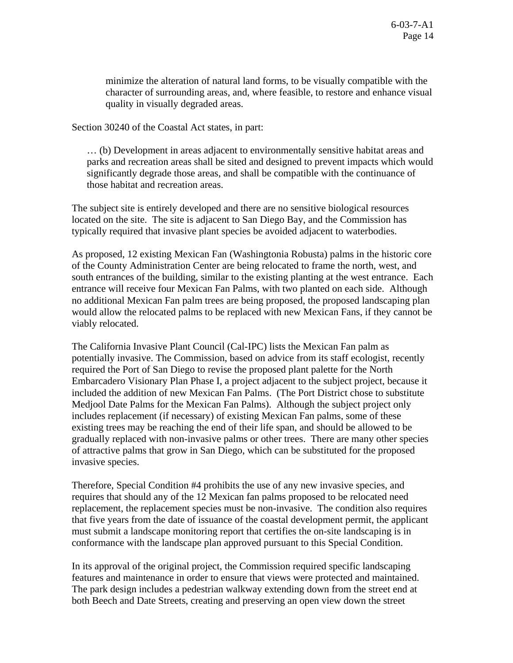minimize the alteration of natural land forms, to be visually compatible with the character of surrounding areas, and, where feasible, to restore and enhance visual quality in visually degraded areas.

Section 30240 of the Coastal Act states, in part:

… (b) Development in areas adjacent to environmentally sensitive habitat areas and parks and recreation areas shall be sited and designed to prevent impacts which would significantly degrade those areas, and shall be compatible with the continuance of those habitat and recreation areas.

The subject site is entirely developed and there are no sensitive biological resources located on the site. The site is adjacent to San Diego Bay, and the Commission has typically required that invasive plant species be avoided adjacent to waterbodies.

As proposed, 12 existing Mexican Fan (Washingtonia Robusta) palms in the historic core of the County Administration Center are being relocated to frame the north, west, and south entrances of the building, similar to the existing planting at the west entrance. Each entrance will receive four Mexican Fan Palms, with two planted on each side. Although no additional Mexican Fan palm trees are being proposed, the proposed landscaping plan would allow the relocated palms to be replaced with new Mexican Fans, if they cannot be viably relocated.

The California Invasive Plant Council (Cal-IPC) lists the Mexican Fan palm as potentially invasive. The Commission, based on advice from its staff ecologist, recently required the Port of San Diego to revise the proposed plant palette for the North Embarcadero Visionary Plan Phase I, a project adjacent to the subject project, because it included the addition of new Mexican Fan Palms. (The Port District chose to substitute Medjool Date Palms for the Mexican Fan Palms). Although the subject project only includes replacement (if necessary) of existing Mexican Fan palms, some of these existing trees may be reaching the end of their life span, and should be allowed to be gradually replaced with non-invasive palms or other trees. There are many other species of attractive palms that grow in San Diego, which can be substituted for the proposed invasive species.

Therefore, Special Condition #4 prohibits the use of any new invasive species, and requires that should any of the 12 Mexican fan palms proposed to be relocated need replacement, the replacement species must be non-invasive. The condition also requires that five years from the date of issuance of the coastal development permit, the applicant must submit a landscape monitoring report that certifies the on-site landscaping is in conformance with the landscape plan approved pursuant to this Special Condition.

In its approval of the original project, the Commission required specific landscaping features and maintenance in order to ensure that views were protected and maintained. The park design includes a pedestrian walkway extending down from the street end at both Beech and Date Streets, creating and preserving an open view down the street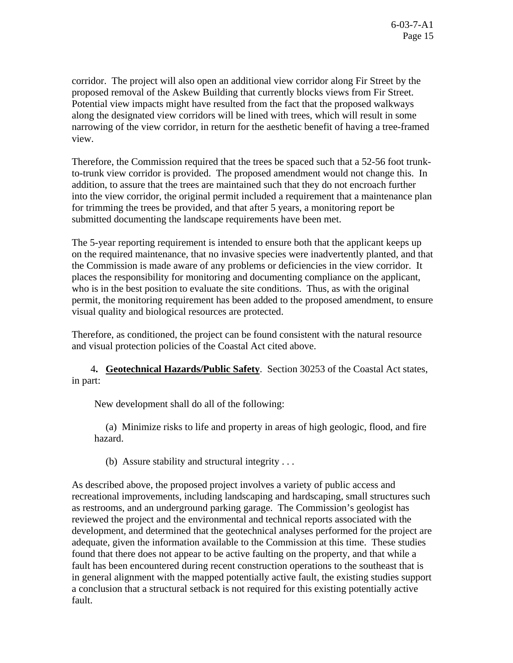corridor. The project will also open an additional view corridor along Fir Street by the proposed removal of the Askew Building that currently blocks views from Fir Street. Potential view impacts might have resulted from the fact that the proposed walkways along the designated view corridors will be lined with trees, which will result in some narrowing of the view corridor, in return for the aesthetic benefit of having a tree-framed view.

Therefore, the Commission required that the trees be spaced such that a 52-56 foot trunkto-trunk view corridor is provided. The proposed amendment would not change this. In addition, to assure that the trees are maintained such that they do not encroach further into the view corridor, the original permit included a requirement that a maintenance plan for trimming the trees be provided, and that after 5 years, a monitoring report be submitted documenting the landscape requirements have been met.

The 5-year reporting requirement is intended to ensure both that the applicant keeps up on the required maintenance, that no invasive species were inadvertently planted, and that the Commission is made aware of any problems or deficiencies in the view corridor. It places the responsibility for monitoring and documenting compliance on the applicant, who is in the best position to evaluate the site conditions. Thus, as with the original permit, the monitoring requirement has been added to the proposed amendment, to ensure visual quality and biological resources are protected.

Therefore, as conditioned, the project can be found consistent with the natural resource and visual protection policies of the Coastal Act cited above.

 4**. Geotechnical Hazards/Public Safety**. Section 30253 of the Coastal Act states, in part:

New development shall do all of the following:

 (a) Minimize risks to life and property in areas of high geologic, flood, and fire hazard.

(b) Assure stability and structural integrity . . .

As described above, the proposed project involves a variety of public access and recreational improvements, including landscaping and hardscaping, small structures such as restrooms, and an underground parking garage. The Commission's geologist has reviewed the project and the environmental and technical reports associated with the development, and determined that the geotechnical analyses performed for the project are adequate, given the information available to the Commission at this time. These studies found that there does not appear to be active faulting on the property, and that while a fault has been encountered during recent construction operations to the southeast that is in general alignment with the mapped potentially active fault, the existing studies support a conclusion that a structural setback is not required for this existing potentially active fault.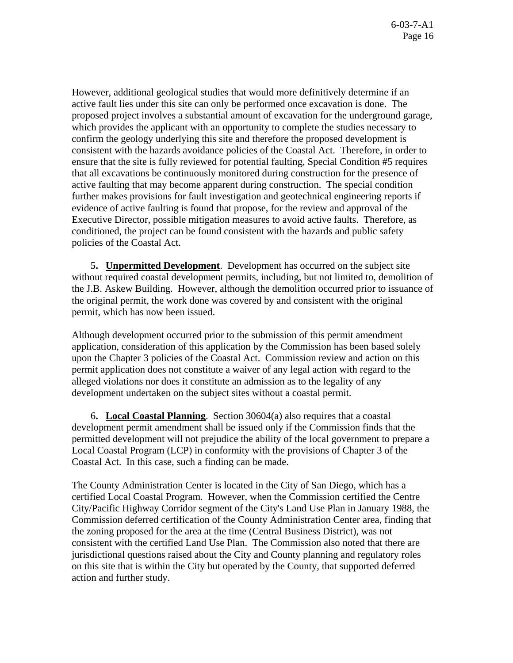However, additional geological studies that would more definitively determine if an active fault lies under this site can only be performed once excavation is done. The proposed project involves a substantial amount of excavation for the underground garage, which provides the applicant with an opportunity to complete the studies necessary to confirm the geology underlying this site and therefore the proposed development is consistent with the hazards avoidance policies of the Coastal Act. Therefore, in order to ensure that the site is fully reviewed for potential faulting, Special Condition #5 requires that all excavations be continuously monitored during construction for the presence of active faulting that may become apparent during construction. The special condition further makes provisions for fault investigation and geotechnical engineering reports if evidence of active faulting is found that propose, for the review and approval of the Executive Director, possible mitigation measures to avoid active faults. Therefore, as conditioned, the project can be found consistent with the hazards and public safety policies of the Coastal Act.

 5**. Unpermitted Development**. Development has occurred on the subject site without required coastal development permits, including, but not limited to, demolition of the J.B. Askew Building. However, although the demolition occurred prior to issuance of the original permit, the work done was covered by and consistent with the original permit, which has now been issued.

Although development occurred prior to the submission of this permit amendment application, consideration of this application by the Commission has been based solely upon the Chapter 3 policies of the Coastal Act. Commission review and action on this permit application does not constitute a waiver of any legal action with regard to the alleged violations nor does it constitute an admission as to the legality of any development undertaken on the subject sites without a coastal permit.

 6**. Local Coastal Planning**. Section 30604(a) also requires that a coastal development permit amendment shall be issued only if the Commission finds that the permitted development will not prejudice the ability of the local government to prepare a Local Coastal Program (LCP) in conformity with the provisions of Chapter 3 of the Coastal Act. In this case, such a finding can be made.

The County Administration Center is located in the City of San Diego, which has a certified Local Coastal Program. However, when the Commission certified the Centre City/Pacific Highway Corridor segment of the City's Land Use Plan in January 1988, the Commission deferred certification of the County Administration Center area, finding that the zoning proposed for the area at the time (Central Business District), was not consistent with the certified Land Use Plan. The Commission also noted that there are jurisdictional questions raised about the City and County planning and regulatory roles on this site that is within the City but operated by the County, that supported deferred action and further study.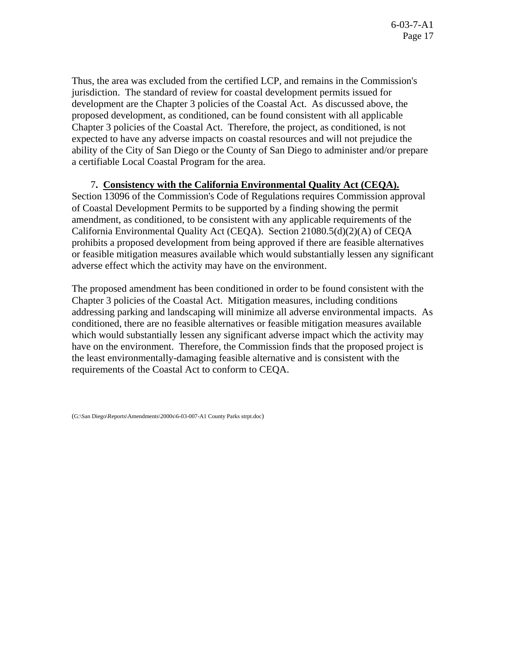Thus, the area was excluded from the certified LCP, and remains in the Commission's jurisdiction. The standard of review for coastal development permits issued for development are the Chapter 3 policies of the Coastal Act. As discussed above, the proposed development, as conditioned, can be found consistent with all applicable Chapter 3 policies of the Coastal Act. Therefore, the project, as conditioned, is not expected to have any adverse impacts on coastal resources and will not prejudice the ability of the City of San Diego or the County of San Diego to administer and/or prepare a certifiable Local Coastal Program for the area.

# 7**. Consistency with the California Environmental Quality Act (CEQA).**

Section 13096 of the Commission's Code of Regulations requires Commission approval of Coastal Development Permits to be supported by a finding showing the permit amendment, as conditioned, to be consistent with any applicable requirements of the California Environmental Quality Act (CEQA). Section 21080.5(d)(2)(A) of CEQA prohibits a proposed development from being approved if there are feasible alternatives or feasible mitigation measures available which would substantially lessen any significant adverse effect which the activity may have on the environment.

The proposed amendment has been conditioned in order to be found consistent with the Chapter 3 policies of the Coastal Act. Mitigation measures, including conditions addressing parking and landscaping will minimize all adverse environmental impacts. As conditioned, there are no feasible alternatives or feasible mitigation measures available which would substantially lessen any significant adverse impact which the activity may have on the environment. Therefore, the Commission finds that the proposed project is the least environmentally-damaging feasible alternative and is consistent with the requirements of the Coastal Act to conform to CEQA.

(G:\San Diego\Reports\Amendments\2000s\6-03-007-A1 County Parks strpt.doc)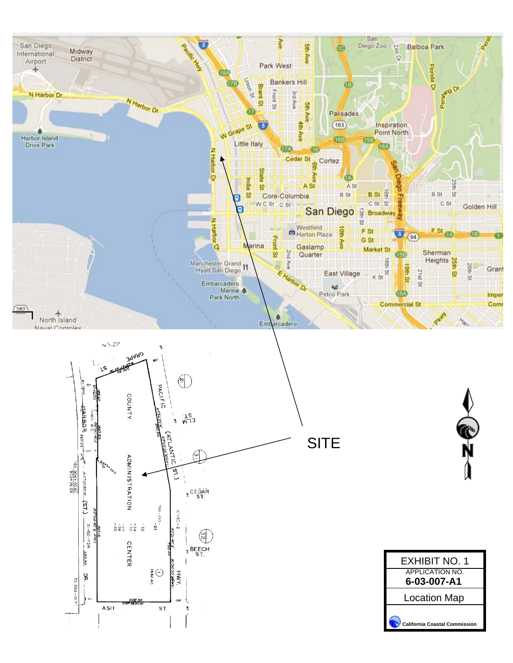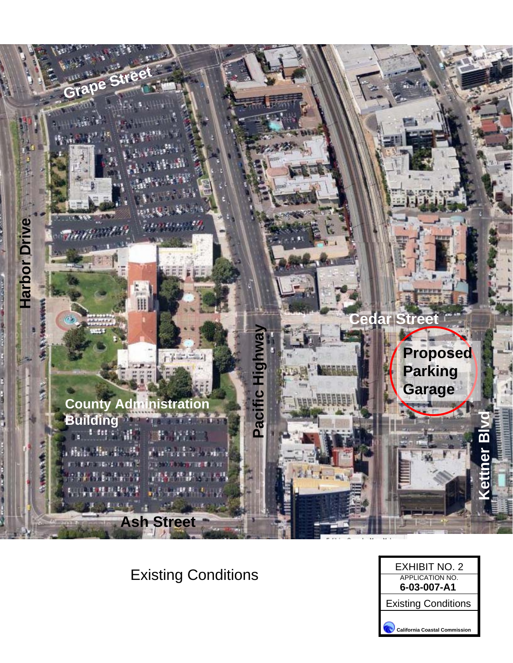

Existing Conditions

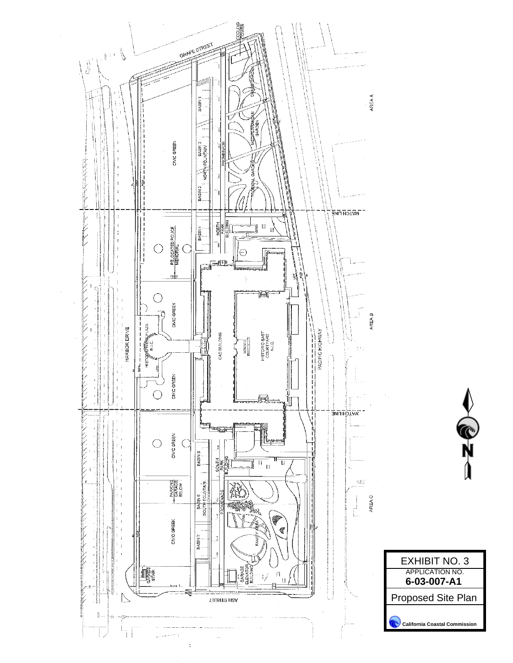

**C**<br>N